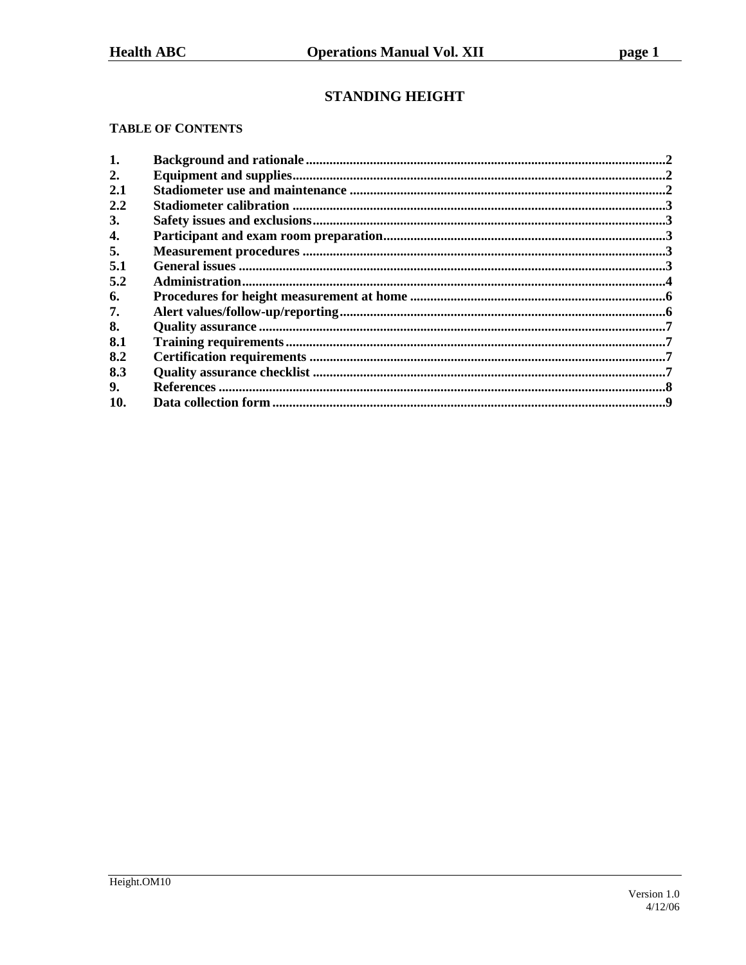# **STANDING HEIGHT**

### **TABLE OF CONTENTS**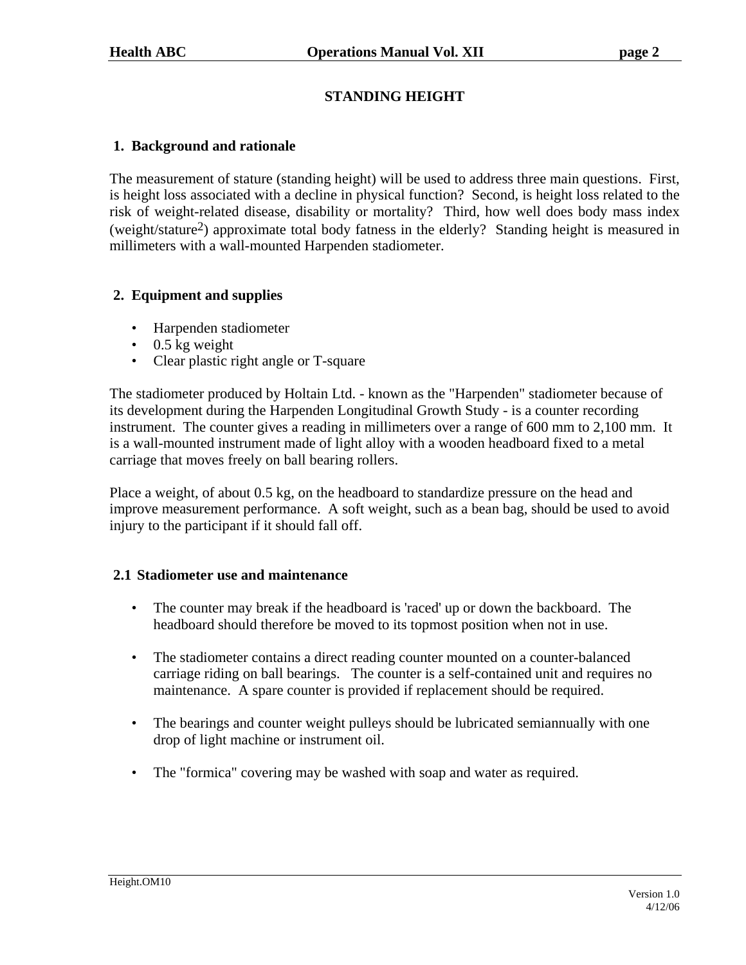## **STANDING HEIGHT**

### **1. Background and rationale**

The measurement of stature (standing height) will be used to address three main questions. First, is height loss associated with a decline in physical function? Second, is height loss related to the risk of weight-related disease, disability or mortality? Third, how well does body mass index (weight/stature2) approximate total body fatness in the elderly? Standing height is measured in millimeters with a wall-mounted Harpenden stadiometer.

### **2. Equipment and supplies**

- Harpenden stadiometer
- $\cdot$  0.5 kg weight
- Clear plastic right angle or T-square

The stadiometer produced by Holtain Ltd. - known as the "Harpenden" stadiometer because of its development during the Harpenden Longitudinal Growth Study - is a counter recording instrument. The counter gives a reading in millimeters over a range of 600 mm to 2,100 mm. It is a wall-mounted instrument made of light alloy with a wooden headboard fixed to a metal carriage that moves freely on ball bearing rollers.

Place a weight, of about 0.5 kg, on the headboard to standardize pressure on the head and improve measurement performance. A soft weight, such as a bean bag, should be used to avoid injury to the participant if it should fall off.

### **2.1 Stadiometer use and maintenance**

- The counter may break if the headboard is 'raced' up or down the backboard. The headboard should therefore be moved to its topmost position when not in use.
- The stadiometer contains a direct reading counter mounted on a counter-balanced carriage riding on ball bearings. The counter is a self-contained unit and requires no maintenance. A spare counter is provided if replacement should be required.
- The bearings and counter weight pulleys should be lubricated semiannually with one drop of light machine or instrument oil.
- The "formica" covering may be washed with soap and water as required.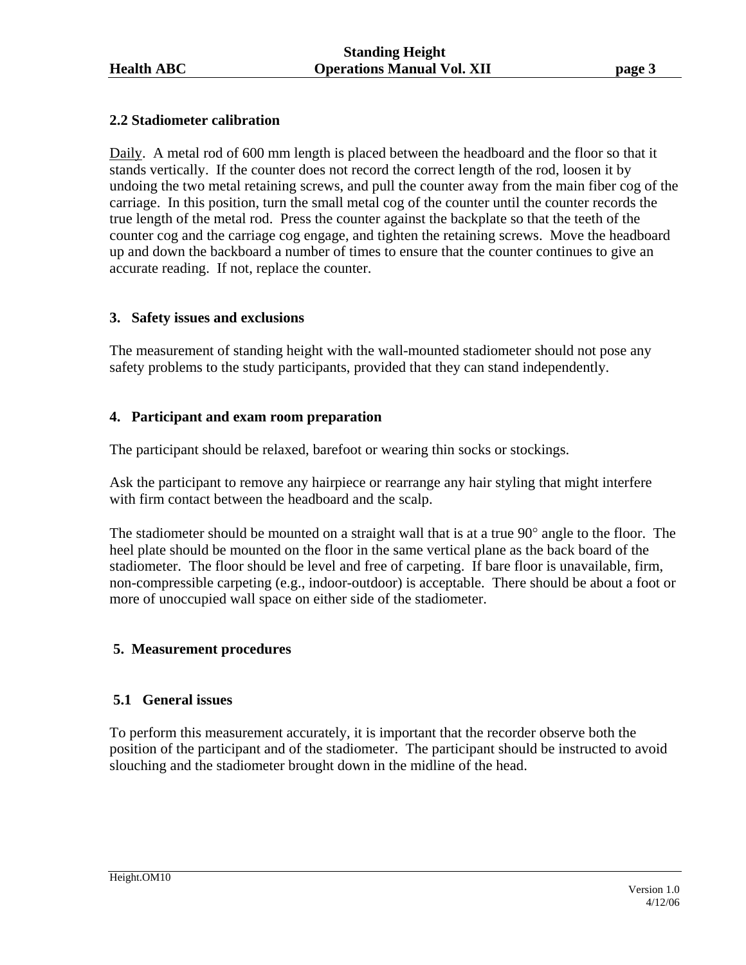### **2.2 Stadiometer calibration**

Daily. A metal rod of 600 mm length is placed between the headboard and the floor so that it stands vertically. If the counter does not record the correct length of the rod, loosen it by undoing the two metal retaining screws, and pull the counter away from the main fiber cog of the carriage. In this position, turn the small metal cog of the counter until the counter records the true length of the metal rod. Press the counter against the backplate so that the teeth of the counter cog and the carriage cog engage, and tighten the retaining screws. Move the headboard up and down the backboard a number of times to ensure that the counter continues to give an accurate reading. If not, replace the counter.

### **3. Safety issues and exclusions**

The measurement of standing height with the wall-mounted stadiometer should not pose any safety problems to the study participants, provided that they can stand independently.

### **4. Participant and exam room preparation**

The participant should be relaxed, barefoot or wearing thin socks or stockings.

Ask the participant to remove any hairpiece or rearrange any hair styling that might interfere with firm contact between the headboard and the scalp.

The stadiometer should be mounted on a straight wall that is at a true 90° angle to the floor. The heel plate should be mounted on the floor in the same vertical plane as the back board of the stadiometer. The floor should be level and free of carpeting. If bare floor is unavailable, firm, non-compressible carpeting (e.g., indoor-outdoor) is acceptable. There should be about a foot or more of unoccupied wall space on either side of the stadiometer.

### **5. Measurement procedures**

### **5.1 General issues**

To perform this measurement accurately, it is important that the recorder observe both the position of the participant and of the stadiometer. The participant should be instructed to avoid slouching and the stadiometer brought down in the midline of the head.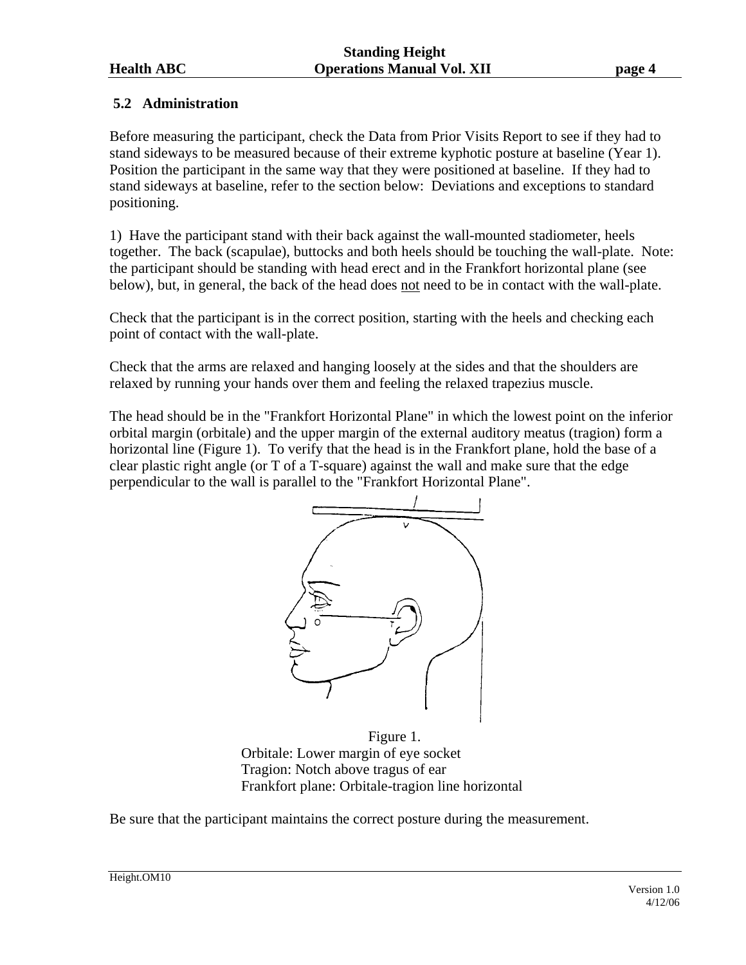### **5.2 Administration**

Before measuring the participant, check the Data from Prior Visits Report to see if they had to stand sideways to be measured because of their extreme kyphotic posture at baseline (Year 1). Position the participant in the same way that they were positioned at baseline. If they had to stand sideways at baseline, refer to the section below: Deviations and exceptions to standard positioning.

1) Have the participant stand with their back against the wall-mounted stadiometer, heels together. The back (scapulae), buttocks and both heels should be touching the wall-plate. Note: the participant should be standing with head erect and in the Frankfort horizontal plane (see below), but, in general, the back of the head does not need to be in contact with the wall-plate.

Check that the participant is in the correct position, starting with the heels and checking each point of contact with the wall-plate.

Check that the arms are relaxed and hanging loosely at the sides and that the shoulders are relaxed by running your hands over them and feeling the relaxed trapezius muscle.

The head should be in the "Frankfort Horizontal Plane" in which the lowest point on the inferior orbital margin (orbitale) and the upper margin of the external auditory meatus (tragion) form a horizontal line (Figure 1). To verify that the head is in the Frankfort plane, hold the base of a clear plastic right angle (or T of a T-square) against the wall and make sure that the edge perpendicular to the wall is parallel to the "Frankfort Horizontal Plane".



Figure 1. Orbitale: Lower margin of eye socket Tragion: Notch above tragus of ear Frankfort plane: Orbitale-tragion line horizontal

Be sure that the participant maintains the correct posture during the measurement.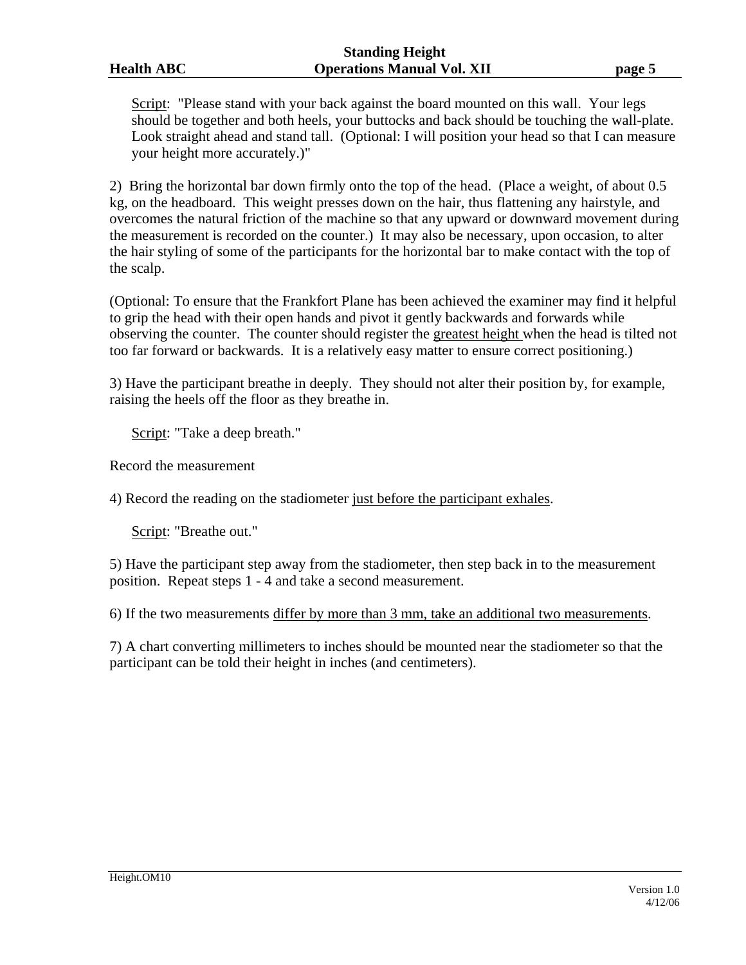Script: "Please stand with your back against the board mounted on this wall. Your legs should be together and both heels, your buttocks and back should be touching the wall-plate. Look straight ahead and stand tall. (Optional: I will position your head so that I can measure your height more accurately.)"

2) Bring the horizontal bar down firmly onto the top of the head. (Place a weight, of about 0.5 kg, on the headboard. This weight presses down on the hair, thus flattening any hairstyle, and overcomes the natural friction of the machine so that any upward or downward movement during the measurement is recorded on the counter.) It may also be necessary, upon occasion, to alter the hair styling of some of the participants for the horizontal bar to make contact with the top of the scalp.

(Optional: To ensure that the Frankfort Plane has been achieved the examiner may find it helpful to grip the head with their open hands and pivot it gently backwards and forwards while observing the counter. The counter should register the greatest height when the head is tilted not too far forward or backwards. It is a relatively easy matter to ensure correct positioning.)

3) Have the participant breathe in deeply. They should not alter their position by, for example, raising the heels off the floor as they breathe in.

Script: "Take a deep breath."

Record the measurement

4) Record the reading on the stadiometer just before the participant exhales.

Script: "Breathe out."

5) Have the participant step away from the stadiometer, then step back in to the measurement position. Repeat steps 1 - 4 and take a second measurement.

6) If the two measurements differ by more than 3 mm, take an additional two measurements.

7) A chart converting millimeters to inches should be mounted near the stadiometer so that the participant can be told their height in inches (and centimeters).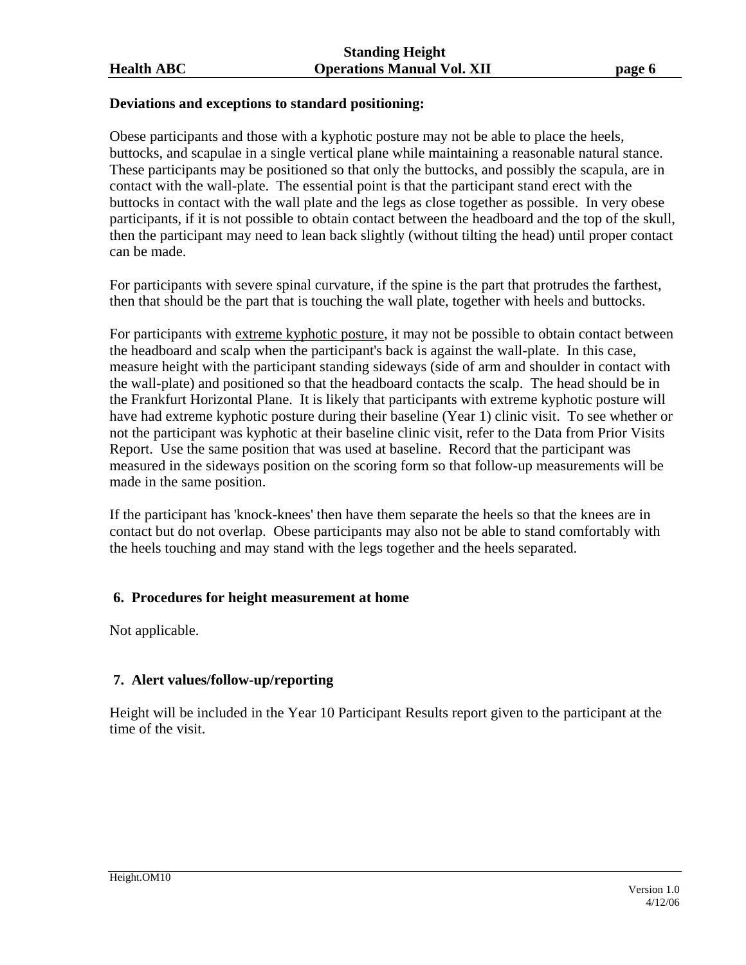### **Deviations and exceptions to standard positioning:**

Obese participants and those with a kyphotic posture may not be able to place the heels, buttocks, and scapulae in a single vertical plane while maintaining a reasonable natural stance. These participants may be positioned so that only the buttocks, and possibly the scapula, are in contact with the wall-plate. The essential point is that the participant stand erect with the buttocks in contact with the wall plate and the legs as close together as possible. In very obese participants, if it is not possible to obtain contact between the headboard and the top of the skull, then the participant may need to lean back slightly (without tilting the head) until proper contact can be made.

For participants with severe spinal curvature, if the spine is the part that protrudes the farthest, then that should be the part that is touching the wall plate, together with heels and buttocks.

For participants with extreme kyphotic posture, it may not be possible to obtain contact between the headboard and scalp when the participant's back is against the wall-plate. In this case, measure height with the participant standing sideways (side of arm and shoulder in contact with the wall-plate) and positioned so that the headboard contacts the scalp. The head should be in the Frankfurt Horizontal Plane. It is likely that participants with extreme kyphotic posture will have had extreme kyphotic posture during their baseline (Year 1) clinic visit. To see whether or not the participant was kyphotic at their baseline clinic visit, refer to the Data from Prior Visits Report. Use the same position that was used at baseline. Record that the participant was measured in the sideways position on the scoring form so that follow-up measurements will be made in the same position.

If the participant has 'knock-knees' then have them separate the heels so that the knees are in contact but do not overlap. Obese participants may also not be able to stand comfortably with the heels touching and may stand with the legs together and the heels separated.

### **6. Procedures for height measurement at home**

Not applicable.

### **7. Alert values/follow-up/reporting**

Height will be included in the Year 10 Participant Results report given to the participant at the time of the visit.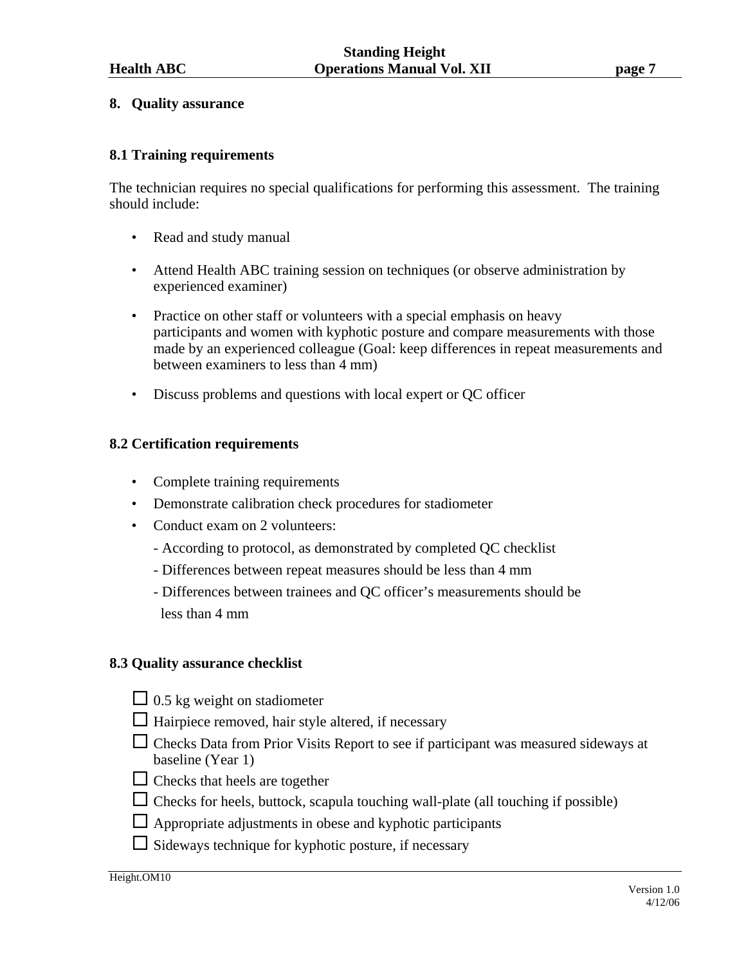#### **8. Quality assurance**

### **8.1 Training requirements**

The technician requires no special qualifications for performing this assessment. The training should include:

- Read and study manual
- Attend Health ABC training session on techniques (or observe administration by experienced examiner)
- Practice on other staff or volunteers with a special emphasis on heavy participants and women with kyphotic posture and compare measurements with those made by an experienced colleague (Goal: keep differences in repeat measurements and between examiners to less than 4 mm)
- Discuss problems and questions with local expert or QC officer

#### **8.2 Certification requirements**

- Complete training requirements
- Demonstrate calibration check procedures for stadiometer
- Conduct exam on 2 volunteers:
	- According to protocol, as demonstrated by completed QC checklist
	- Differences between repeat measures should be less than 4 mm
	- Differences between trainees and QC officer's measurements should be less than 4 mm

#### **8.3 Quality assurance checklist**

- $\Box$  0.5 kg weight on stadiometer
- $\Box$  Hairpiece removed, hair style altered, if necessary
- $\Box$  Checks Data from Prior Visits Report to see if participant was measured sideways at baseline (Year 1)
- $\Box$  Checks that heels are together
- $\Box$  Checks for heels, buttock, scapula touching wall-plate (all touching if possible)
- $\Box$  Appropriate adjustments in obese and kyphotic participants
- $\Box$  Sideways technique for kyphotic posture, if necessary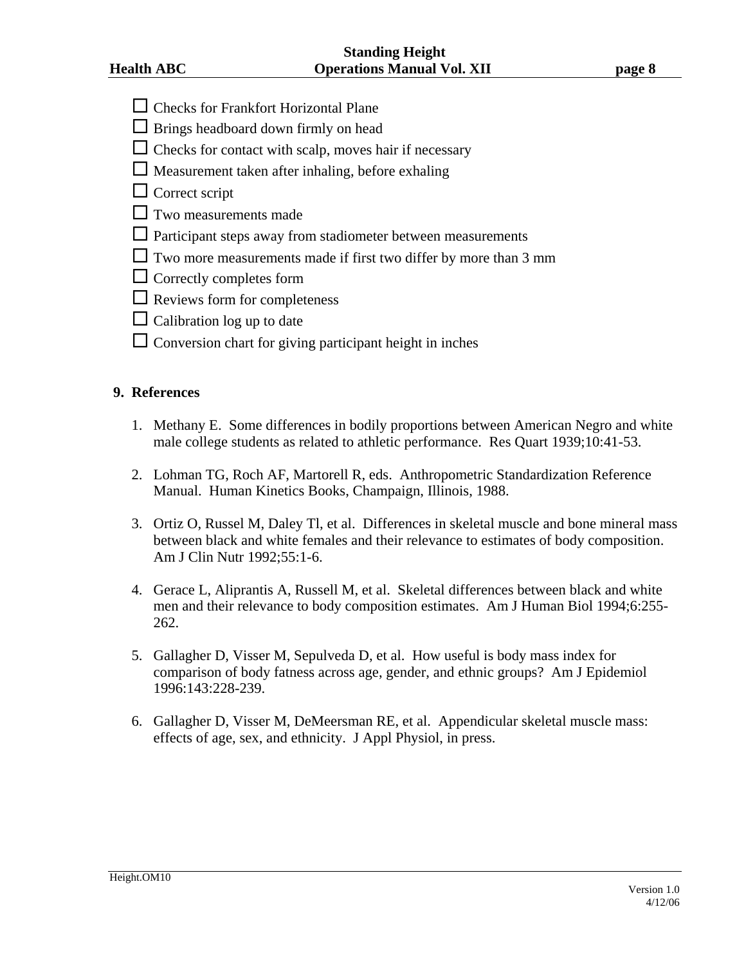- $\Box$  Checks for Frankfort Horizontal Plane
- $\Box$  Brings headboard down firmly on head
- $\Box$  Checks for contact with scalp, moves hair if necessary
- $\Box$  Measurement taken after inhaling, before exhaling
- $\Box$  Correct script
- $\Box$  Two measurements made
- $\Box$  Participant steps away from stadiometer between measurements
- $\Box$  Two more measurements made if first two differ by more than 3 mm
- $\Box$  Correctly completes form
- $\Box$  Reviews form for completeness
- $\Box$  Calibration log up to date
- $\square$  Conversion chart for giving participant height in inches

#### **9. References**

- 1. Methany E. Some differences in bodily proportions between American Negro and white male college students as related to athletic performance. Res Quart 1939;10:41-53.
- 2. Lohman TG, Roch AF, Martorell R, eds. Anthropometric Standardization Reference Manual. Human Kinetics Books, Champaign, Illinois, 1988.
- 3. Ortiz O, Russel M, Daley Tl, et al. Differences in skeletal muscle and bone mineral mass between black and white females and their relevance to estimates of body composition. Am J Clin Nutr 1992;55:1-6.
- 4. Gerace L, Aliprantis A, Russell M, et al. Skeletal differences between black and white men and their relevance to body composition estimates. Am J Human Biol 1994;6:255- 262.
- 5. Gallagher D, Visser M, Sepulveda D, et al. How useful is body mass index for comparison of body fatness across age, gender, and ethnic groups? Am J Epidemiol 1996:143:228-239.
- 6. Gallagher D, Visser M, DeMeersman RE, et al. Appendicular skeletal muscle mass: effects of age, sex, and ethnicity. J Appl Physiol, in press.